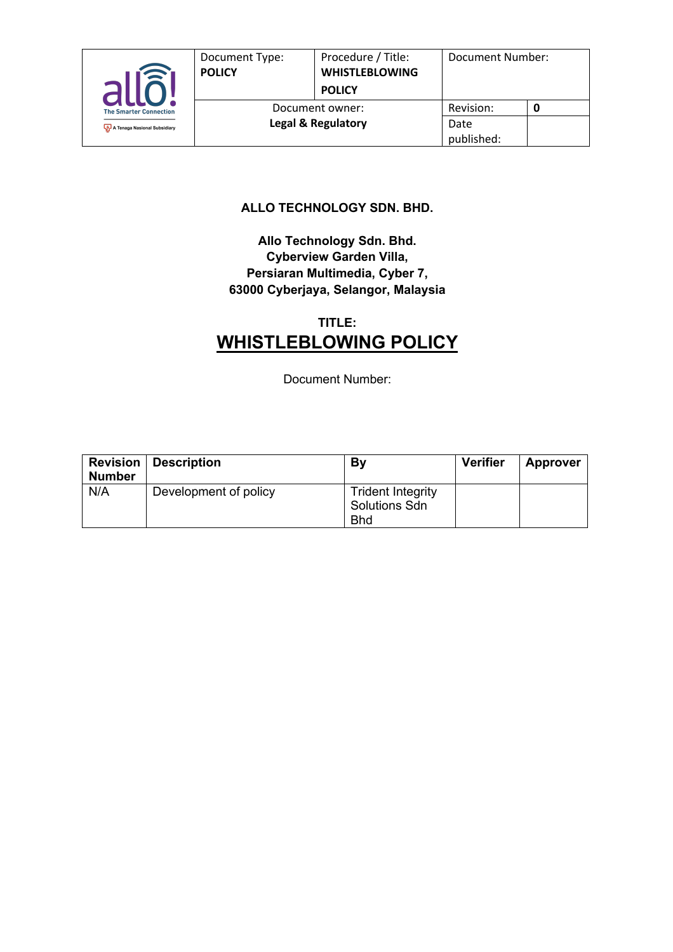

#### **ALLO TECHNOLOGY SDN. BHD.**

#### **Allo Technology Sdn. Bhd. Cyberview Garden Villa, Persiaran Multimedia, Cyber 7, 63000 Cyberjaya, Selangor, Malaysia**

# **TITLE: WHISTLEBLOWING POLICY**

Document Number:

| <b>Number</b> | <b>Revision   Description</b> | By                                                             | <b>Verifier</b> | <b>Approver</b> |
|---------------|-------------------------------|----------------------------------------------------------------|-----------------|-----------------|
| N/A           | Development of policy         | <b>Trident Integrity</b><br><b>Solutions Sdn</b><br><b>Bhd</b> |                 |                 |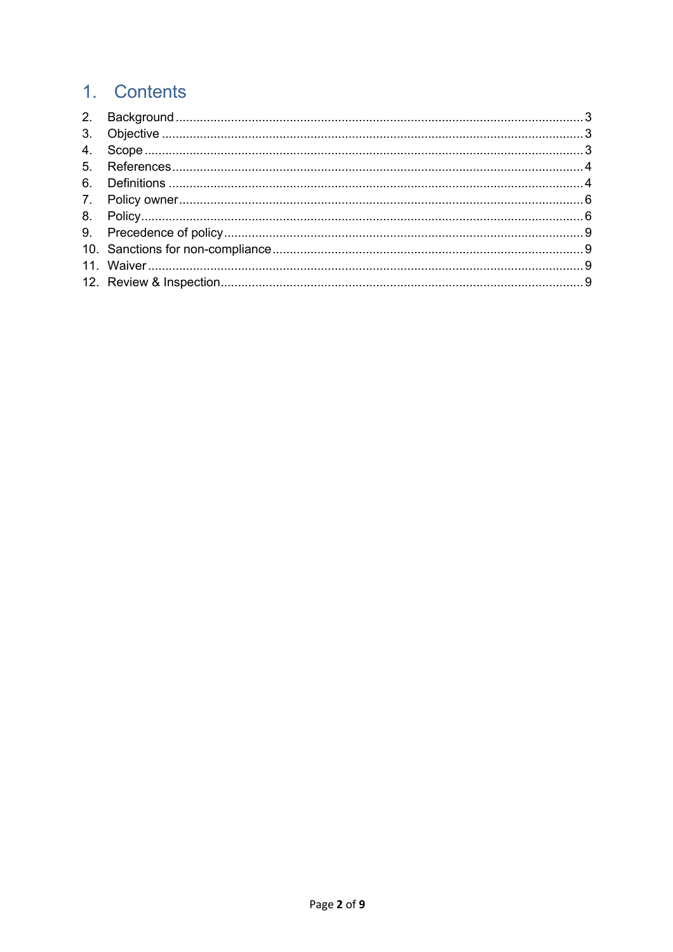# 1. Contents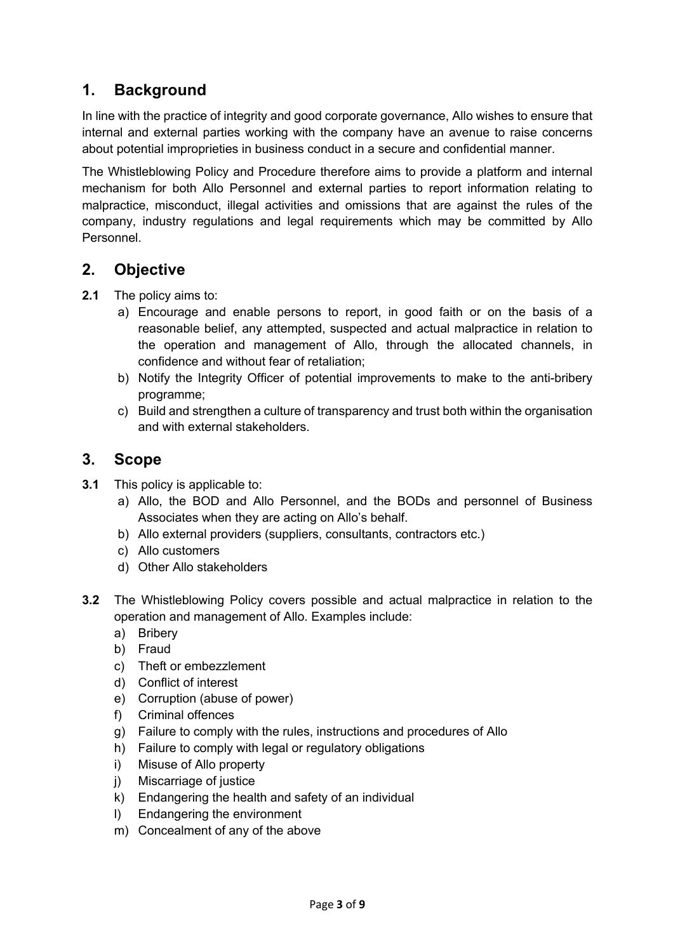# **1. Background**

In line with the practice of integrity and good corporate governance, Allo wishes to ensure that internal and external parties working with the company have an avenue to raise concerns about potential improprieties in business conduct in a secure and confidential manner.

The Whistleblowing Policy and Procedure therefore aims to provide a platform and internal mechanism for both Allo Personnel and external parties to report information relating to malpractice, misconduct, illegal activities and omissions that are against the rules of the company, industry regulations and legal requirements which may be committed by Allo Personnel.

# **2. Objective**

- **2.1** The policy aims to:
	- a) Encourage and enable persons to report, in good faith or on the basis of a reasonable belief, any attempted, suspected and actual malpractice in relation to the operation and management of Allo, through the allocated channels, in confidence and without fear of retaliation;
	- b) Notify the Integrity Officer of potential improvements to make to the anti-bribery programme;
	- c) Build and strengthen a culture of transparency and trust both within the organisation and with external stakeholders.

## **3. Scope**

- **3.1** This policy is applicable to:
	- a) Allo, the BOD and Allo Personnel, and the BODs and personnel of Business Associates when they are acting on Allo's behalf.
	- b) Allo external providers (suppliers, consultants, contractors etc.)
	- c) Allo customers
	- d) Other Allo stakeholders
- **3.2** The Whistleblowing Policy covers possible and actual malpractice in relation to the operation and management of Allo. Examples include:
	- a) Bribery
	- b) Fraud
	- c) Theft or embezzlement
	- d) Conflict of interest
	- e) Corruption (abuse of power)
	- f) Criminal offences
	- g) Failure to comply with the rules, instructions and procedures of Allo
	- h) Failure to comply with legal or regulatory obligations
	- i) Misuse of Allo property
	- j) Miscarriage of justice
	- k) Endangering the health and safety of an individual
	- l) Endangering the environment
	- m) Concealment of any of the above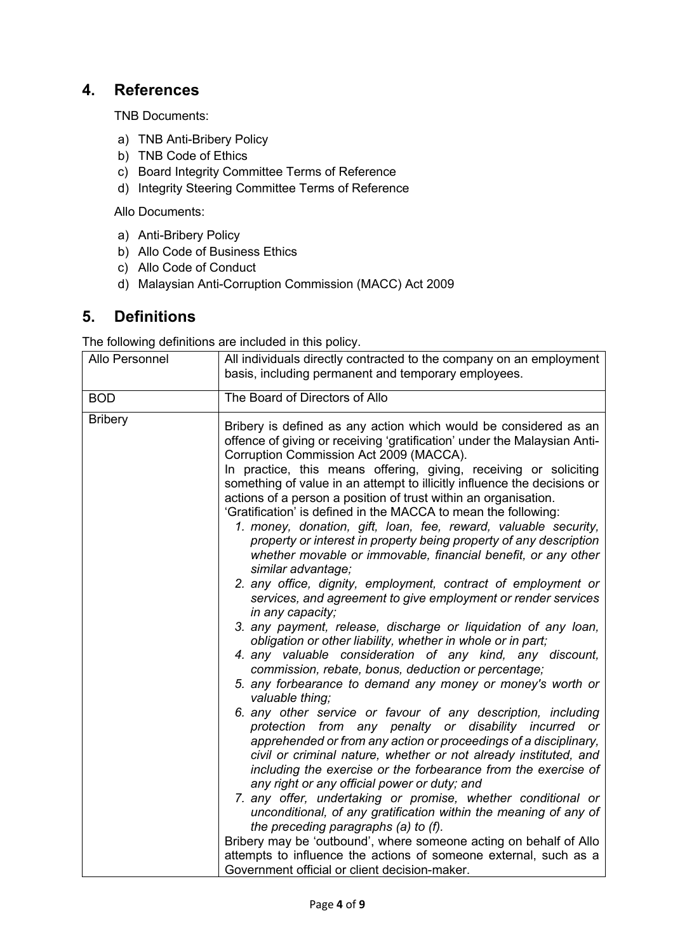# **4. References**

TNB Documents:

- a) TNB Anti-Bribery Policy
- b) TNB Code of Ethics
- c) Board Integrity Committee Terms of Reference
- d) Integrity Steering Committee Terms of Reference

Allo Documents:

- a) Anti-Bribery Policy
- b) Allo Code of Business Ethics
- c) Allo Code of Conduct
- d) Malaysian Anti-Corruption Commission (MACC) Act 2009

## **5. Definitions**

The following definitions are included in this policy.

| Allo Personnel | All individuals directly contracted to the company on an employment<br>basis, including permanent and temporary employees.                                                                                                                                                                                                                                                                                                                                                                                                                                                                                                                                                                                                                                                                                                                                                                                                                                                                                                                                                                                                                                                                                                                                                                                                                                                                                                                                                                                                                                                                                                                                                                                                                                                                                                                                                                                                                                        |
|----------------|-------------------------------------------------------------------------------------------------------------------------------------------------------------------------------------------------------------------------------------------------------------------------------------------------------------------------------------------------------------------------------------------------------------------------------------------------------------------------------------------------------------------------------------------------------------------------------------------------------------------------------------------------------------------------------------------------------------------------------------------------------------------------------------------------------------------------------------------------------------------------------------------------------------------------------------------------------------------------------------------------------------------------------------------------------------------------------------------------------------------------------------------------------------------------------------------------------------------------------------------------------------------------------------------------------------------------------------------------------------------------------------------------------------------------------------------------------------------------------------------------------------------------------------------------------------------------------------------------------------------------------------------------------------------------------------------------------------------------------------------------------------------------------------------------------------------------------------------------------------------------------------------------------------------------------------------------------------------|
| <b>BOD</b>     | The Board of Directors of Allo                                                                                                                                                                                                                                                                                                                                                                                                                                                                                                                                                                                                                                                                                                                                                                                                                                                                                                                                                                                                                                                                                                                                                                                                                                                                                                                                                                                                                                                                                                                                                                                                                                                                                                                                                                                                                                                                                                                                    |
| <b>Bribery</b> | Bribery is defined as any action which would be considered as an<br>offence of giving or receiving 'gratification' under the Malaysian Anti-<br>Corruption Commission Act 2009 (MACCA).<br>In practice, this means offering, giving, receiving or soliciting<br>something of value in an attempt to illicitly influence the decisions or<br>actions of a person a position of trust within an organisation.<br>'Gratification' is defined in the MACCA to mean the following:<br>1. money, donation, gift, loan, fee, reward, valuable security,<br>property or interest in property being property of any description<br>whether movable or immovable, financial benefit, or any other<br>similar advantage;<br>2. any office, dignity, employment, contract of employment or<br>services, and agreement to give employment or render services<br>in any capacity;<br>3. any payment, release, discharge or liquidation of any loan,<br>obligation or other liability, whether in whole or in part;<br>4. any valuable consideration of any kind, any discount,<br>commission, rebate, bonus, deduction or percentage;<br>5. any forbearance to demand any money or money's worth or<br>valuable thing;<br>6. any other service or favour of any description, including<br>protection from any penalty or disability incurred or<br>apprehended or from any action or proceedings of a disciplinary,<br>civil or criminal nature, whether or not already instituted, and<br>including the exercise or the forbearance from the exercise of<br>any right or any official power or duty; and<br>7. any offer, undertaking or promise, whether conditional or<br>unconditional, of any gratification within the meaning of any of<br>the preceding paragraphs (a) to (f).<br>Bribery may be 'outbound', where someone acting on behalf of Allo<br>attempts to influence the actions of someone external, such as a<br>Government official or client decision-maker. |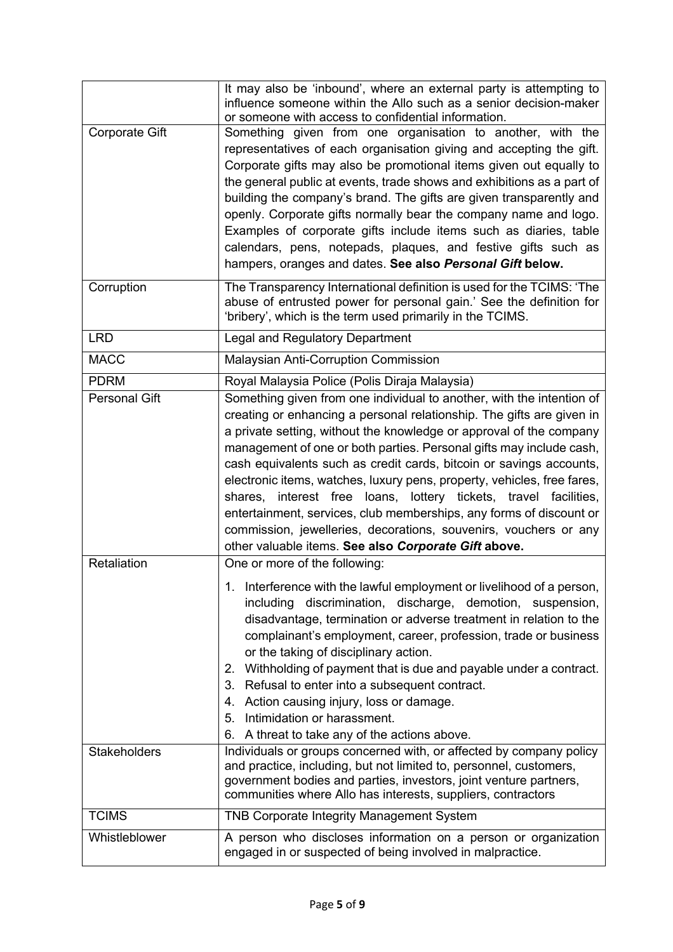|                       | It may also be 'inbound', where an external party is attempting to<br>influence someone within the Allo such as a senior decision-maker<br>or someone with access to confidential information.                                                                                                                                                                                                                                                                                                                                                                                                                                                                                                                        |
|-----------------------|-----------------------------------------------------------------------------------------------------------------------------------------------------------------------------------------------------------------------------------------------------------------------------------------------------------------------------------------------------------------------------------------------------------------------------------------------------------------------------------------------------------------------------------------------------------------------------------------------------------------------------------------------------------------------------------------------------------------------|
| <b>Corporate Gift</b> | Something given from one organisation to another, with the<br>representatives of each organisation giving and accepting the gift.<br>Corporate gifts may also be promotional items given out equally to<br>the general public at events, trade shows and exhibitions as a part of<br>building the company's brand. The gifts are given transparently and<br>openly. Corporate gifts normally bear the company name and logo.<br>Examples of corporate gifts include items such as diaries, table<br>calendars, pens, notepads, plaques, and festive gifts such as<br>hampers, oranges and dates. See also Personal Gift below.                                                                                        |
| Corruption            | The Transparency International definition is used for the TCIMS: 'The<br>abuse of entrusted power for personal gain.' See the definition for<br>'bribery', which is the term used primarily in the TCIMS.                                                                                                                                                                                                                                                                                                                                                                                                                                                                                                             |
| <b>LRD</b>            | Legal and Regulatory Department                                                                                                                                                                                                                                                                                                                                                                                                                                                                                                                                                                                                                                                                                       |
| <b>MACC</b>           | <b>Malaysian Anti-Corruption Commission</b>                                                                                                                                                                                                                                                                                                                                                                                                                                                                                                                                                                                                                                                                           |
| <b>PDRM</b>           | Royal Malaysia Police (Polis Diraja Malaysia)                                                                                                                                                                                                                                                                                                                                                                                                                                                                                                                                                                                                                                                                         |
| <b>Personal Gift</b>  | Something given from one individual to another, with the intention of<br>creating or enhancing a personal relationship. The gifts are given in<br>a private setting, without the knowledge or approval of the company<br>management of one or both parties. Personal gifts may include cash,<br>cash equivalents such as credit cards, bitcoin or savings accounts,<br>electronic items, watches, luxury pens, property, vehicles, free fares,<br>shares, interest free loans, lottery tickets, travel facilities,<br>entertainment, services, club memberships, any forms of discount or<br>commission, jewelleries, decorations, souvenirs, vouchers or any<br>other valuable items. See also Corporate Gift above. |
| Retaliation           | One or more of the following:<br>1. Interference with the lawful employment or livelihood of a person,<br>discrimination, discharge, demotion, suspension,<br>including<br>disadvantage, termination or adverse treatment in relation to the<br>complainant's employment, career, profession, trade or business<br>or the taking of disciplinary action.<br>2. Withholding of payment that is due and payable under a contract.<br>Refusal to enter into a subsequent contract.<br>3.<br>Action causing injury, loss or damage.<br>4.<br>Intimidation or harassment.<br>5.<br>A threat to take any of the actions above.<br>6.                                                                                        |
| <b>Stakeholders</b>   | Individuals or groups concerned with, or affected by company policy<br>and practice, including, but not limited to, personnel, customers,<br>government bodies and parties, investors, joint venture partners,<br>communities where Allo has interests, suppliers, contractors                                                                                                                                                                                                                                                                                                                                                                                                                                        |
| <b>TCIMS</b>          | <b>TNB Corporate Integrity Management System</b>                                                                                                                                                                                                                                                                                                                                                                                                                                                                                                                                                                                                                                                                      |
| Whistleblower         | A person who discloses information on a person or organization<br>engaged in or suspected of being involved in malpractice.                                                                                                                                                                                                                                                                                                                                                                                                                                                                                                                                                                                           |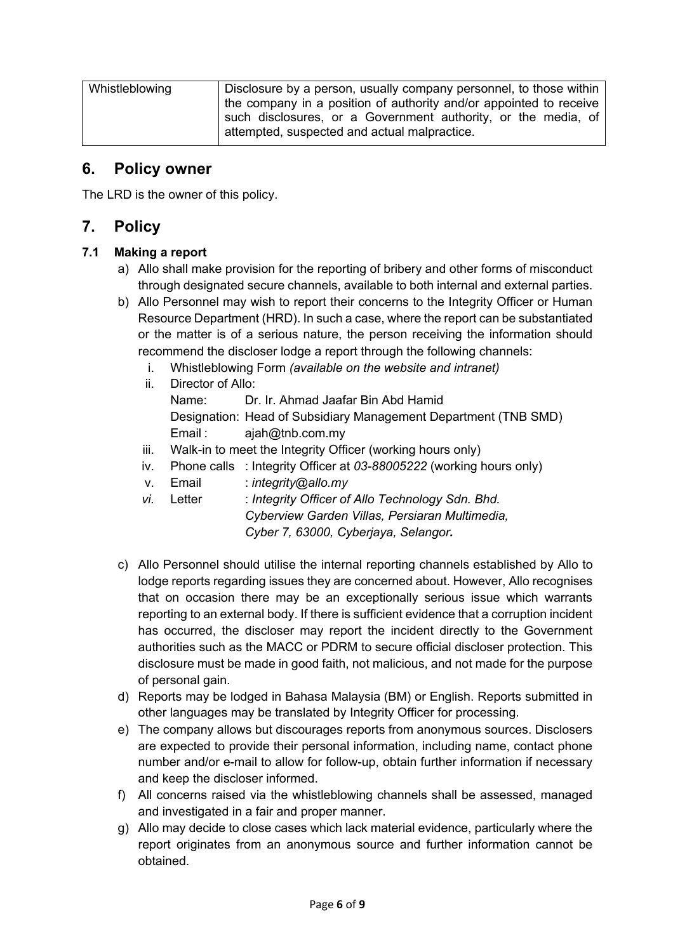| Whistleblowing | Disclosure by a person, usually company personnel, to those within<br>the company in a position of authority and/or appointed to receive |  |
|----------------|------------------------------------------------------------------------------------------------------------------------------------------|--|
|                | such disclosures, or a Government authority, or the media, of<br>attempted, suspected and actual malpractice.                            |  |

### **6. Policy owner**

The LRD is the owner of this policy.

# **7. Policy**

#### **7.1 Making a report**

- a) Allo shall make provision for the reporting of bribery and other forms of misconduct through designated secure channels, available to both internal and external parties.
- b) Allo Personnel may wish to report their concerns to the Integrity Officer or Human Resource Department (HRD). In such a case, where the report can be substantiated or the matter is of a serious nature, the person receiving the information should recommend the discloser lodge a report through the following channels:
	- i. Whistleblowing Form *(available on the website and intranet)*

|      | ii. Director of Allo: |                                                                 |  |
|------|-----------------------|-----------------------------------------------------------------|--|
|      | Name:                 | Dr. Ir. Ahmad Jaafar Bin Abd Hamid                              |  |
|      |                       | Designation: Head of Subsidiary Management Department (TNB SMD) |  |
|      |                       | Email: $aiah@thb.com.my$                                        |  |
| iii. |                       | Walk-in to meet the Integrity Officer (working hours only)      |  |

- iv. Phone calls : Integrity Officer at *03-88005222* (working hours only)
- v. Email : *integrity@allo.my*
- *vi.* Letter : *Integrity Officer of Allo Technology Sdn. Bhd. Cyberview Garden Villas, Persiaran Multimedia, Cyber 7, 63000, Cyberjaya, Selangor.*
- c) Allo Personnel should utilise the internal reporting channels established by Allo to lodge reports regarding issues they are concerned about. However, Allo recognises that on occasion there may be an exceptionally serious issue which warrants reporting to an external body. If there is sufficient evidence that a corruption incident has occurred, the discloser may report the incident directly to the Government authorities such as the MACC or PDRM to secure official discloser protection. This disclosure must be made in good faith, not malicious, and not made for the purpose of personal gain.
- d) Reports may be lodged in Bahasa Malaysia (BM) or English. Reports submitted in other languages may be translated by Integrity Officer for processing.
- e) The company allows but discourages reports from anonymous sources. Disclosers are expected to provide their personal information, including name, contact phone number and/or e-mail to allow for follow-up, obtain further information if necessary and keep the discloser informed.
- f) All concerns raised via the whistleblowing channels shall be assessed, managed and investigated in a fair and proper manner.
- g) Allo may decide to close cases which lack material evidence, particularly where the report originates from an anonymous source and further information cannot be obtained.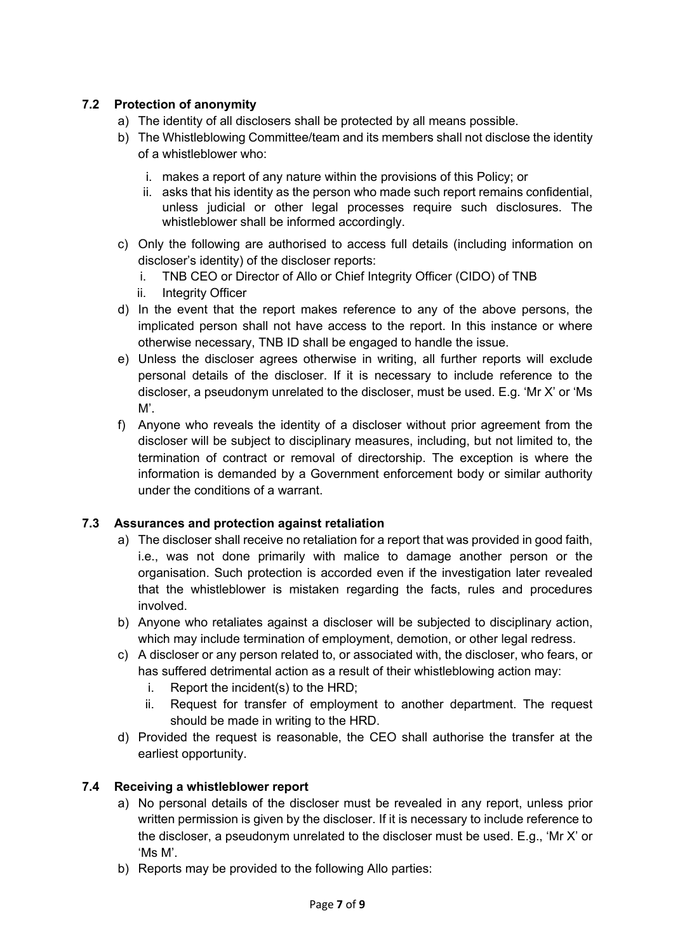#### **7.2 Protection of anonymity**

- a) The identity of all disclosers shall be protected by all means possible.
- b) The Whistleblowing Committee/team and its members shall not disclose the identity of a whistleblower who:
	- i. makes a report of any nature within the provisions of this Policy; or
	- ii. asks that his identity as the person who made such report remains confidential, unless judicial or other legal processes require such disclosures. The whistleblower shall be informed accordingly.
- c) Only the following are authorised to access full details (including information on discloser's identity) of the discloser reports:
	- i. TNB CEO or Director of Allo or Chief Integrity Officer (CIDO) of TNB
	- ii. Integrity Officer
- d) In the event that the report makes reference to any of the above persons, the implicated person shall not have access to the report. In this instance or where otherwise necessary, TNB ID shall be engaged to handle the issue.
- e) Unless the discloser agrees otherwise in writing, all further reports will exclude personal details of the discloser. If it is necessary to include reference to the discloser, a pseudonym unrelated to the discloser, must be used. E.g. 'Mr X' or 'Ms  $M'.$
- f) Anyone who reveals the identity of a discloser without prior agreement from the discloser will be subject to disciplinary measures, including, but not limited to, the termination of contract or removal of directorship. The exception is where the information is demanded by a Government enforcement body or similar authority under the conditions of a warrant.

#### **7.3 Assurances and protection against retaliation**

- a) The discloser shall receive no retaliation for a report that was provided in good faith, i.e., was not done primarily with malice to damage another person or the organisation. Such protection is accorded even if the investigation later revealed that the whistleblower is mistaken regarding the facts, rules and procedures involved.
- b) Anyone who retaliates against a discloser will be subjected to disciplinary action, which may include termination of employment, demotion, or other legal redress.
- c) A discloser or any person related to, or associated with, the discloser, who fears, or has suffered detrimental action as a result of their whistleblowing action may:
	- i. Report the incident(s) to the HRD;
	- ii. Request for transfer of employment to another department. The request should be made in writing to the HRD.
- d) Provided the request is reasonable, the CEO shall authorise the transfer at the earliest opportunity.

#### **7.4 Receiving a whistleblower report**

- a) No personal details of the discloser must be revealed in any report, unless prior written permission is given by the discloser. If it is necessary to include reference to the discloser, a pseudonym unrelated to the discloser must be used. E.g., 'Mr X' or 'Ms M'.
- b) Reports may be provided to the following Allo parties: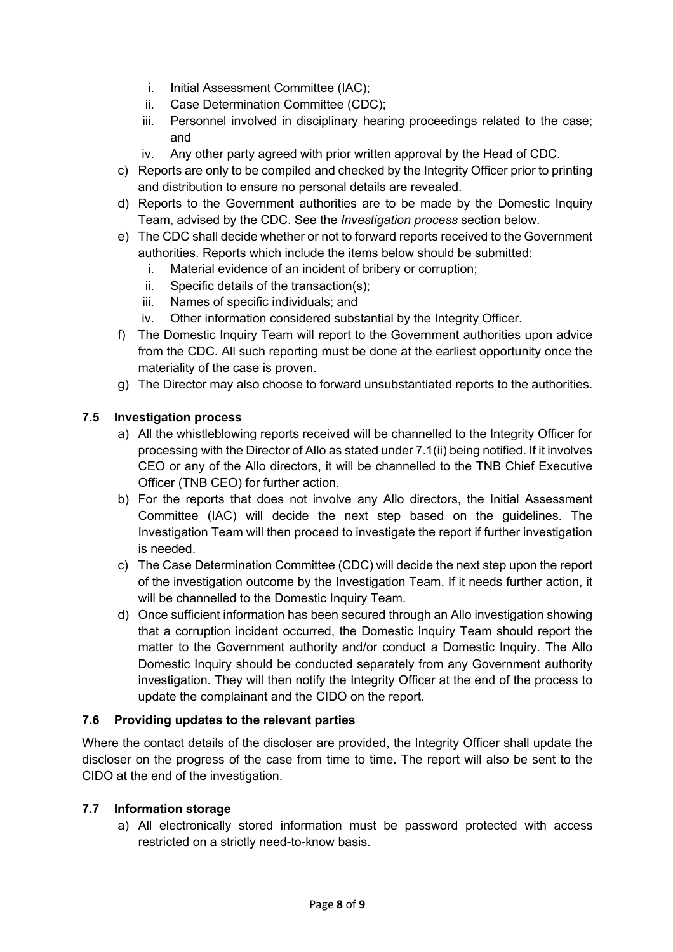- i. Initial Assessment Committee (IAC);
- ii. Case Determination Committee (CDC);
- iii. Personnel involved in disciplinary hearing proceedings related to the case; and
- iv. Any other party agreed with prior written approval by the Head of CDC.
- c) Reports are only to be compiled and checked by the Integrity Officer prior to printing and distribution to ensure no personal details are revealed.
- d) Reports to the Government authorities are to be made by the Domestic Inquiry Team, advised by the CDC. See the *Investigation process* section below.
- e) The CDC shall decide whether or not to forward reports received to the Government authorities. Reports which include the items below should be submitted:
	- i. Material evidence of an incident of bribery or corruption;
	- ii. Specific details of the transaction(s);
	- iii. Names of specific individuals; and
	- iv. Other information considered substantial by the Integrity Officer.
- f) The Domestic Inquiry Team will report to the Government authorities upon advice from the CDC. All such reporting must be done at the earliest opportunity once the materiality of the case is proven.
- g) The Director may also choose to forward unsubstantiated reports to the authorities.

#### **7.5 Investigation process**

- a) All the whistleblowing reports received will be channelled to the Integrity Officer for processing with the Director of Allo as stated under 7.1(ii) being notified. If it involves CEO or any of the Allo directors, it will be channelled to the TNB Chief Executive Officer (TNB CEO) for further action.
- b) For the reports that does not involve any Allo directors, the Initial Assessment Committee (IAC) will decide the next step based on the guidelines. The Investigation Team will then proceed to investigate the report if further investigation is needed.
- c) The Case Determination Committee (CDC) will decide the next step upon the report of the investigation outcome by the Investigation Team. If it needs further action, it will be channelled to the Domestic Inquiry Team.
- d) Once sufficient information has been secured through an Allo investigation showing that a corruption incident occurred, the Domestic Inquiry Team should report the matter to the Government authority and/or conduct a Domestic Inquiry. The Allo Domestic Inquiry should be conducted separately from any Government authority investigation. They will then notify the Integrity Officer at the end of the process to update the complainant and the CIDO on the report.

#### **7.6 Providing updates to the relevant parties**

Where the contact details of the discloser are provided, the Integrity Officer shall update the discloser on the progress of the case from time to time. The report will also be sent to the CIDO at the end of the investigation.

#### **7.7 Information storage**

a) All electronically stored information must be password protected with access restricted on a strictly need-to-know basis.